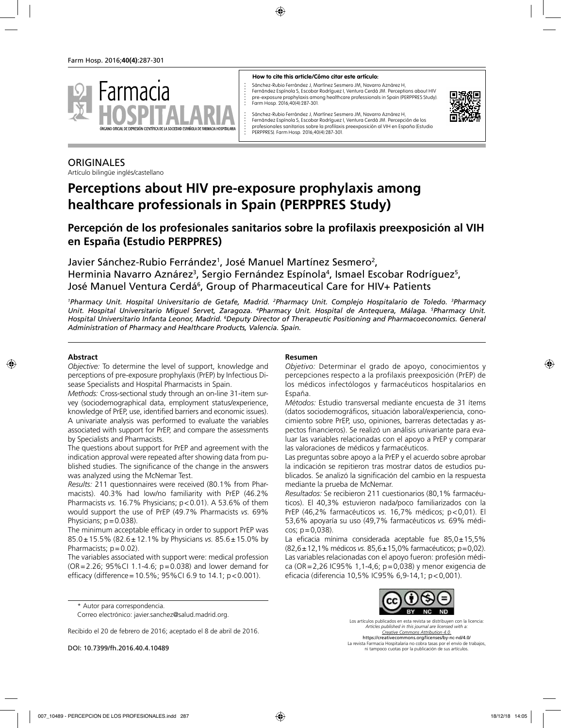

#### **How to cite this article/Cómo citar este artículo:**

Sánchez-Rubio Ferrández J, Martínez Sesmero JM, Navarro Aznárez H, Fernández Espínola S, Escobar Rodríguez I, Ventura Cerdá JM. Perceptions about HIV pre-exposure prophylaxis among healthcare professionals in Spain (PERPPRES Study). Farm Hosp. 2016;40(4):287-301.



Sánchez-Rubio Ferrández J, Martínez Sesmero JM, Navarro Aznárez H, Fernández Espínola S, Escobar Rodríguez I, Ventura Cerdá JM. Percepción de los profesionales sanitarios sobre la profilaxis preexposición al VIH en España (Estudio PERPPRES). Farm Hosp. 2016;40(4):287-301.

#### **ORIGINALES**

Artículo bilingüe inglés/castellano

# **Perceptions about HIV pre-exposure prophylaxis among healthcare professionals in Spain (PERPPRES Study)**

## **Percepción de los profesionales sanitarios sobre la profilaxis preexposición al VIH en España (Estudio PERPPRES)**

Javier Sánchez-Rubio Ferrández<sup>1</sup>, José Manuel Martínez Sesmero<sup>2</sup>, Herminia Navarro Aznárez<sup>3</sup>, Sergio Fernández Espínola<sup>4</sup>, Ismael Escobar Rodríguez<sup>5</sup>, José Manuel Ventura Cerdá<sup>6</sup>, Group of Pharmaceutical Care for HIV+ Patients

<sup>1</sup>Pharmacy Unit. Hospital Universitario de Getafe, Madrid. <sup>2</sup>Pharmacy Unit. Complejo Hospitalario de Toledo. <sup>3</sup>Pharmacy *Unit. Hospital Universitario Miguel Servet, Zaragoza. 4 Pharmacy Unit. Hospital de Antequera, Málaga. 5 Pharmacy Unit.*  Hospital Universitario Infanta Leonor, Madrid. <sup>6</sup>Deputy Director of Therapeutic Positioning and Pharmacoeconomics. General *Administration of Pharmacy and Healthcare Products, Valencia. Spain.*

#### **Abstract**

*Objective:* To determine the level of support, knowledge and perceptions of pre-exposure prophylaxis (PrEP) by Infectious Disease Specialists and Hospital Pharmacists in Spain.

*Methods:* Cross-sectional study through an on-line 31-item survey (sociodemographical data, employment status/experience, knowledge of PrEP, use, identified barriers and economic issues). A univariate analysis was performed to evaluate the variables associated with support for PrEP, and compare the assessments by Specialists and Pharmacists.

The questions about support for PrEP and agreement with the indication approval were repeated after showing data from published studies. The significance of the change in the answers was analyzed using the McNemar Test.

*Results:* 211 questionnaires were received (80.1% from Pharmacists). 40.3% had low/no familiarity with PrEP (46.2% Pharmacists *vs.* 16.7% Physicians; p<0.01). A 53.6% of them would support the use of PrEP (49.7% Pharmacists *vs.* 69% Physicians;  $p = 0.038$ ).

The minimum acceptable efficacy in order to support PrEP was 85.0±15.5% (82.6±12.1% by Physicians *vs.* 85.6±15.0% by Pharmacists:  $p = 0.02$ ).

The variables associated with support were: medical profession (OR=2.26; 95%CI 1.1-4.6; p=0.038) and lower demand for efficacy (difference=10.5%; 95%CI 6.9 to 14.1; p<0.001).

\* Autor para correspondencia.

Correo electrónico: javier.sanchez@salud.madrid.org.

Recibido el 20 de febrero de 2016; aceptado el 8 de abril de 2016.

DOI: 10.7399/fh.2016.40.4.10489

#### **Resumen**

*Objetivo:* Determinar el grado de apoyo, conocimientos y percepciones respecto a la profilaxis preexposición (PrEP) de los médicos infectólogos y farmacéuticos hospitalarios en España.

*Métodos:* Estudio transversal mediante encuesta de 31 ítems (datos sociodemográficos, situación laboral/experiencia, conocimiento sobre PrEP, uso, opiniones, barreras detectadas y aspectos financieros). Se realizó un análisis univariante para evaluar las variables relacionadas con el apoyo a PrEP y comparar las valoraciones de médicos y farmacéuticos.

Las preguntas sobre apoyo a la PrEP y el acuerdo sobre aprobar la indicación se repitieron tras mostrar datos de estudios publicados. Se analizó la significación del cambio en la respuesta mediante la prueba de McNemar.

*Resultados:* Se recibieron 211 cuestionarios (80,1% farmacéuticos). El 40,3% estuvieron nada/poco familiarizados con la PrEP (46,2% farmacéuticos *vs.* 16,7% médicos; p<0,01). El 53,6% apoyaría su uso (49,7% farmacéuticos *vs.* 69% médicos; p=0,038).

La eficacia mínima considerada aceptable fue 85,0±15,5% (82,6±12,1% médicos *vs.* 85,6±15,0% farmacéuticos; p=0,02). Las variables relacionadas con el apoyo fueron: profesión médica (OR=2,26 IC95% 1,1-4,6; p=0,038) y menor exigencia de eficacia (diferencia 10,5% IC95% 6,9-14,1; p<0,001).



Los artículos publicados en esta revista se distribuyen con la licencia: *Articles published in this journal are licensed with a: Creative Commons Attribution 4.0.* https://creativecommons.org/licenses/by-nc-nd/4.0/ La revista Farmacia Hospitalaria no cobra tasas por el envío de trabajos, ni tampoco cuotas por la publicación de sus artículos.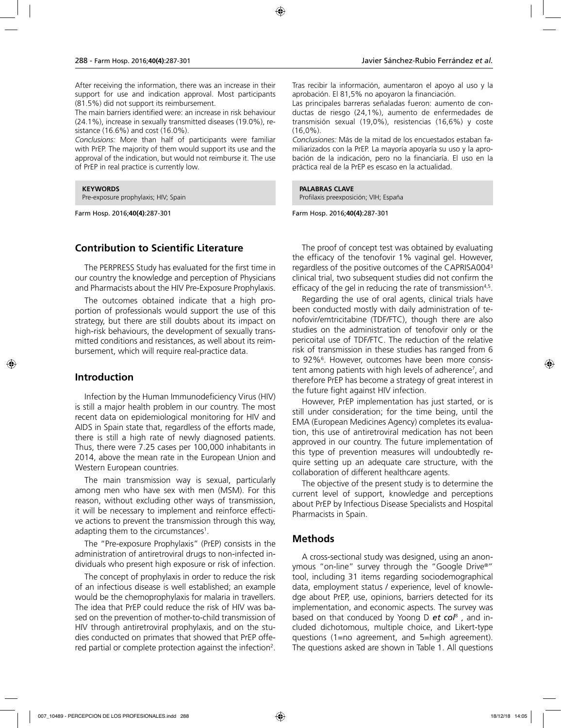After receiving the information, there was an increase in their support for use and indication approval. Most participants (81.5%) did not support its reimbursement.

The main barriers identified were: an increase in risk behaviour (24.1%), increase in sexually transmitted diseases (19.0%), resistance (16.6%) and cost (16.0%).

*Conclusions:* More than half of participants were familiar with PrEP. The majority of them would support its use and the approval of the indication, but would not reimburse it. The use of PrEP in real practice is currently low.

**KEYWORDS**

Pre-exposure prophylaxis; HIV; Spain

Farm Hosp. 2016;**40(4)**:287-301

## **Contribution to Scientific Literature**

The PERPRESS Study has evaluated for the first time in our country the knowledge and perception of Physicians and Pharmacists about the HIV Pre-Exposure Prophylaxis.

The outcomes obtained indicate that a high proportion of professionals would support the use of this strategy, but there are still doubts about its impact on high-risk behaviours, the development of sexually transmitted conditions and resistances, as well about its reimbursement, which will require real-practice data.

## **Introduction**

Infection by the Human Immunodeficiency Virus (HIV) is still a major health problem in our country. The most recent data on epidemiological monitoring for HIV and AIDS in Spain state that, regardless of the efforts made, there is still a high rate of newly diagnosed patients. Thus, there were 7.25 cases per 100,000 inhabitants in 2014, above the mean rate in the European Union and Western European countries.

The main transmission way is sexual, particularly among men who have sex with men (MSM). For this reason, without excluding other ways of transmission, it will be necessary to implement and reinforce effective actions to prevent the transmission through this way, adapting them to the circumstances<sup>1</sup>.

The "Pre-exposure Prophylaxis" (PrEP) consists in the administration of antiretroviral drugs to non-infected individuals who present high exposure or risk of infection.

The concept of prophylaxis in order to reduce the risk of an infectious disease is well established; an example would be the chemoprophylaxis for malaria in travellers. The idea that PrEP could reduce the risk of HIV was based on the prevention of mother-to-child transmission of HIV through antiretroviral prophylaxis, and on the studies conducted on primates that showed that PrEP offered partial or complete protection against the infection<sup>2</sup>. Tras recibir la información, aumentaron el apoyo al uso y la aprobación. El 81,5% no apoyaron la financiación.

Las principales barreras señaladas fueron: aumento de conductas de riesgo (24,1%), aumento de enfermedades de transmisión sexual (19,0%), resistencias (16,6%) y coste (16,0%).

*Conclusiones:* Más de la mitad de los encuestados estaban familiarizados con la PrEP. La mayoría apoyaría su uso y la aprobación de la indicación, pero no la financiaría. El uso en la práctica real de la PrEP es escaso en la actualidad.

**PALABRAS CLAVE**

Profilaxis preexposición; VIH; España

Farm Hosp. 2016;**40(4)**:287-301

The proof of concept test was obtained by evaluating the efficacy of the tenofovir 1% vaginal gel. However, regardless of the positive outcomes of the CAPRISA0043 clinical trial, two subsequent studies did not confirm the efficacy of the gel in reducing the rate of transmission<sup>4,5</sup>.

Regarding the use of oral agents, clinical trials have been conducted mostly with daily administration of tenofovir/emtricitabine (TDF/FTC), though there are also studies on the administration of tenofovir only or the pericoital use of TDF/FTC. The reduction of the relative risk of transmission in these studies has ranged from 6 to 92%<sup>6</sup>. However, outcomes have been more consistent among patients with high levels of adherence<sup>7</sup>, and therefore PrEP has become a strategy of great interest in the future fight against HIV infection.

However, PrEP implementation has just started, or is still under consideration; for the time being, until the EMA (European Medicines Agency) completes its evaluation, this use of antiretroviral medication has not been approved in our country. The future implementation of this type of prevention measures will undoubtedly require setting up an adequate care structure, with the collaboration of different healthcare agents.

The objective of the present study is to determine the current level of support, knowledge and perceptions about PrEP by Infectious Disease Specialists and Hospital Pharmacists in Spain.

#### **Methods**

A cross-sectional study was designed, using an anonymous "on-line" survey through the "Google Drive®" tool, including 31 items regarding sociodemographical data, employment status / experience, level of knowledge about PrEP, use, opinions, barriers detected for its implementation, and economic aspects. The survey was based on that conduced by Yoong D *et col*<sup>8</sup> , and included dichotomous, multiple choice, and Likert-type questions (1=no agreement, and 5=high agreement). The questions asked are shown in Table 1. All questions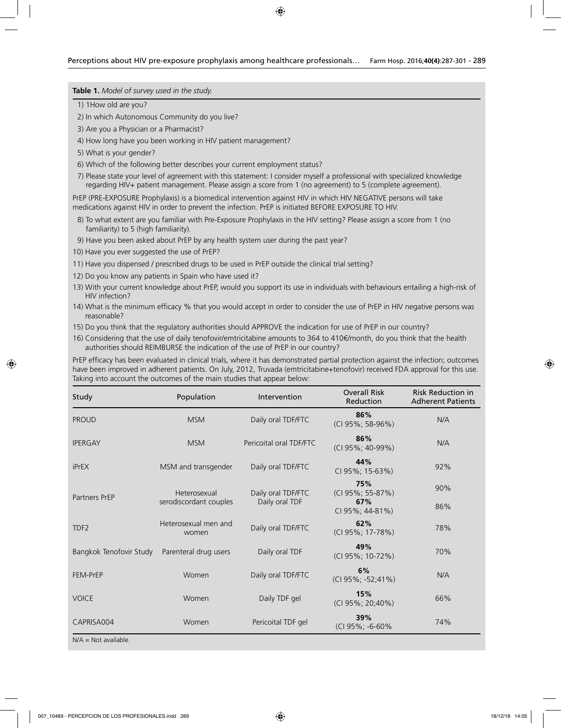**Table 1.** *Model of survey used in the study.*

1) 1How old are you?

2) In which Autonomous Community do you live?

- 3) Are you a Physician or a Pharmacist?
- 4) How long have you been working in HIV patient management?
- 5) What is your gender?
- 6) Which of the following better describes your current employment status?

7) Please state your level of agreement with this statement: I consider myself a professional with specialized knowledge regarding HIV+ patient management. Please assign a score from 1 (no agreement) to 5 (complete agreement).

PrEP (PRE-EXPOSURE Prophylaxis) is a biomedical intervention against HIV in which HIV NEGATIVE persons will take medications against HIV in order to prevent the infection. PrEP is initiated BEFORE EXPOSURE TO HIV.

- 8) To what extent are you familiar with Pre-Exposure Prophylaxis in the HIV setting? Please assign a score from 1 (no familiarity) to 5 (high familiarity).
- 9) Have you been asked about PrEP by any health system user during the past year?
- 10) Have you ever suggested the use of PrEP?
- 11) Have you dispensed / prescribed drugs to be used in PrEP outside the clinical trial setting?
- 12) Do you know any patients in Spain who have used it?
- 13) With your current knowledge about PrEP, would you support its use in individuals with behaviours entailing a high-risk of HIV infection?
- 14) What is the minimum efficacy % that you would accept in order to consider the use of PrEP in HIV negative persons was reasonable?
- 15) Do you think that the regulatory authorities should APPROVE the indication for use of PrEP in our country?
- 16) Considering that the use of daily tenofovir/emtricitabine amounts to 364 to 410€/month, do you think that the health authorities should REIMBURSE the indication of the use of PrEP in our country?

PrEP efficacy has been evaluated in clinical trials, where it has demonstrated partial protection against the infection; outcomes have been improved in adherent patients. On July, 2012, Truvada (emtricitabine+tenofovir) received FDA approval for this use. Taking into account the outcomes of the main studies that appear below:

| Study                   | Population                    | Intervention            | <b>Overall Risk</b><br>Reduction | <b>Risk Reduction in</b><br><b>Adherent Patients</b> |
|-------------------------|-------------------------------|-------------------------|----------------------------------|------------------------------------------------------|
| <b>PROUD</b>            | <b>MSM</b>                    | Daily oral TDF/FTC      | 86%<br>(CI 95%; 58-96%)          | N/A                                                  |
| <b>IPERGAY</b>          | <b>MSM</b>                    | Pericoital oral TDF/FTC | 86%<br>(CI 95%; 40-99%)          | N/A                                                  |
| <b>iPrEX</b>            | MSM and transgender           | Daily oral TDF/FTC      | 44%<br>CI 95%; 15-63%)           | 92%                                                  |
| Partners PrEP           | Heterosexual                  | Daily oral TDF/FTC      | 75%<br>(CI 95%; 55-87%)          | 90%                                                  |
|                         | serodiscordant couples        | Daily oral TDF          | 67%<br>CI 95%; 44-81%)           | 86%                                                  |
| TDF <sub>2</sub>        | Heterosexual men and<br>women | Daily oral TDF/FTC      | 62%<br>(CI 95%; 17-78%)          | 78%                                                  |
| Bangkok Tenofovir Study | Parenteral drug users         | Daily oral TDF          | 49%<br>(CI 95%; 10-72%)          | 70%                                                  |
| FEM-PrEP                | Women                         | Daily oral TDF/FTC      | 6%<br>(CI 95%; -52;41%)          | N/A                                                  |
| <b>VOICE</b>            | Women                         | Daily TDF gel           | 15%<br>(CI 95%; 20;40%)          | 66%                                                  |
| CAPRISA004              | Women                         | Pericoital TDF gel      | 39%<br>(CI 95%; -6-60%           | 74%                                                  |

 $N/A = Not available$ .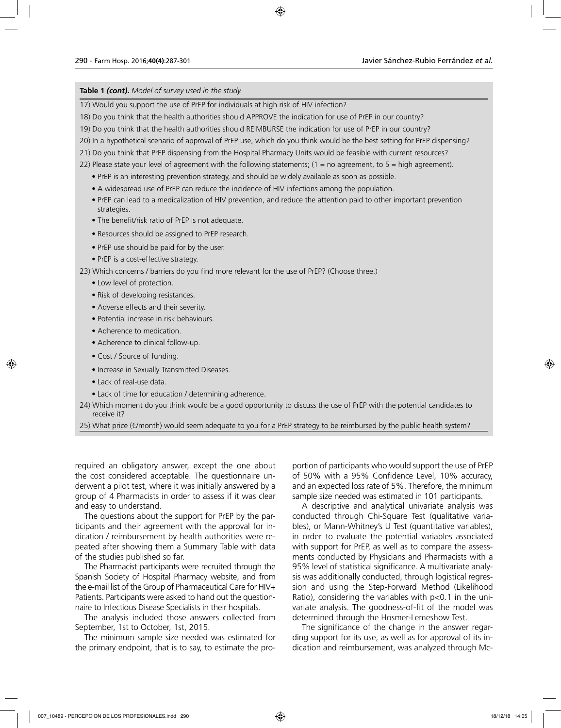#### **Table 1** *(cont)***.** *Model of survey used in the study.*

17) Would you support the use of PrEP for individuals at high risk of HIV infection?

- 18) Do you think that the health authorities should APPROVE the indication for use of PrEP in our country?
- 19) Do you think that the health authorities should REIMBURSE the indication for use of PrEP in our country?
- 20) In a hypothetical scenario of approval of PrEP use, which do you think would be the best setting for PrEP dispensing?
- 21) Do you think that PrEP dispensing from the Hospital Pharmacy Units would be feasible with current resources?
- 22) Please state your level of agreement with the following statements;  $(1 = no$  agreement, to  $5 = high$  agreement).
	- PrEP is an interesting prevention strategy, and should be widely available as soon as possible.
	- A widespread use of PrEP can reduce the incidence of HIV infections among the population.
	- PrEP can lead to a medicalization of HIV prevention, and reduce the attention paid to other important prevention strategies.
	- The benefit/risk ratio of PrEP is not adequate.
	- Resources should be assigned to PrEP research.
	- PrEP use should be paid for by the user.
	- PrEP is a cost-effective strategy.

23) Which concerns / barriers do you find more relevant for the use of PrEP? (Choose three.)

- Low level of protection.
- Risk of developing resistances.
- Adverse effects and their severity.
- Potential increase in risk behaviours.
- Adherence to medication.
- Adherence to clinical follow-up.
- Cost / Source of funding.
- Increase in Sexually Transmitted Diseases.
- Lack of real-use data.
- Lack of time for education / determining adherence.
- 24) Which moment do you think would be a good opportunity to discuss the use of PrEP with the potential candidates to receive it?

25) What price (€/month) would seem adequate to you for a PrEP strategy to be reimbursed by the public health system?

required an obligatory answer, except the one about the cost considered acceptable. The questionnaire underwent a pilot test, where it was initially answered by a group of 4 Pharmacists in order to assess if it was clear and easy to understand.

The questions about the support for PrEP by the participants and their agreement with the approval for indication / reimbursement by health authorities were repeated after showing them a Summary Table with data of the studies published so far.

The Pharmacist participants were recruited through the Spanish Society of Hospital Pharmacy website, and from the e-mail list of the Group of Pharmaceutical Care for HIV+ Patients. Participants were asked to hand out the questionnaire to Infectious Disease Specialists in their hospitals.

The analysis included those answers collected from September, 1st to October, 1st, 2015.

The minimum sample size needed was estimated for the primary endpoint, that is to say, to estimate the proportion of participants who would support the use of PrEP of 50% with a 95% Confidence Level, 10% accuracy, and an expected loss rate of 5%. Therefore, the minimum sample size needed was estimated in 101 participants.

A descriptive and analytical univariate analysis was conducted through Chi-Square Test (qualitative variables), or Mann-Whitney's U Test (quantitative variables), in order to evaluate the potential variables associated with support for PrEP, as well as to compare the assessments conducted by Physicians and Pharmacists with a 95% level of statistical significance. A multivariate analysis was additionally conducted, through logistical regression and using the Step-Forward Method (Likelihood Ratio), considering the variables with p<0.1 in the univariate analysis. The goodness-of-fit of the model was determined through the Hosmer-Lemeshow Test.

The significance of the change in the answer regarding support for its use, as well as for approval of its indication and reimbursement, was analyzed through Mc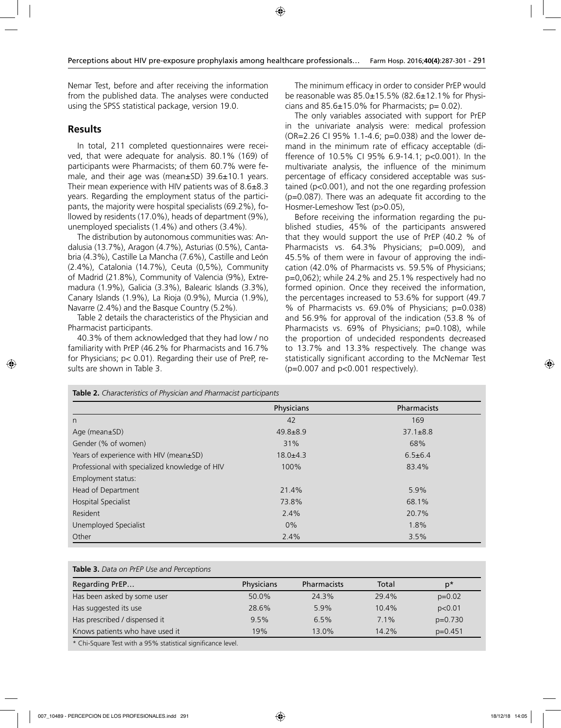Nemar Test, before and after receiving the information from the published data. The analyses were conducted using the SPSS statistical package, version 19.0.

#### **Results**

In total, 211 completed questionnaires were received, that were adequate for analysis. 80.1% (169) of participants were Pharmacists; of them 60.7% were female, and their age was (mean±SD) 39.6±10.1 years. Their mean experience with HIV patients was of 8.6±8.3 years. Regarding the employment status of the participants, the majority were hospital specialists (69.2%), followed by residents (17.0%), heads of department (9%), unemployed specialists (1.4%) and others (3.4%).

The distribution by autonomous communities was: Andalusia (13.7%), Aragon (4.7%), Asturias (0.5%), Cantabria (4.3%), Castille La Mancha (7.6%), Castille and León (2.4%), Catalonia (14.7%), Ceuta (0,5%), Community of Madrid (21.8%), Community of Valencia (9%), Extremadura (1.9%), Galicia (3.3%), Balearic Islands (3.3%), Canary Islands (1.9%), La Rioja (0.9%), Murcia (1.9%), Navarre (2.4%) and the Basque Country (5.2%).

Table 2 details the characteristics of the Physician and Pharmacist participants.

40.3% of them acknowledged that they had low / no familiarity with PrEP (46.2% for Pharmacists and 16.7% for Physicians; p< 0.01). Regarding their use of PreP, results are shown in Table 3.

The minimum efficacy in order to consider PrEP would be reasonable was 85.0±15.5% (82.6±12.1% for Physicians and  $85.6\pm15.0\%$  for Pharmacists;  $p= 0.02$ ).

The only variables associated with support for PrEP in the univariate analysis were: medical profession (OR=2.26 CI 95% 1.1-4.6; p=0.038) and the lower demand in the minimum rate of efficacy acceptable (difference of 10.5% CI 95% 6.9-14.1; p<0.001). In the multivariate analysis, the influence of the minimum percentage of efficacy considered acceptable was sustained (p<0.001), and not the one regarding profession (p=0.087). There was an adequate fit according to the Hosmer-Lemeshow Test (p>0.05),

Before receiving the information regarding the published studies, 45% of the participants answered that they would support the use of PrEP (40.2 % of Pharmacists vs. 64.3% Physicians; p=0.009), and 45.5% of them were in favour of approving the indication (42.0% of Pharmacists vs. 59.5% of Physicians; p=0,062); while 24.2% and 25.1% respectively had no formed opinion. Once they received the information, the percentages increased to 53.6% for support (49.7 % of Pharmacists vs. 69.0% of Physicians; p=0.038) and 56.9% for approval of the indication (53.8 % of Pharmacists vs. 69% of Physicians; p=0.108), while the proportion of undecided respondents decreased to 13.7% and 13.3% respectively. The change was statistically significant according to the McNemar Test (p=0.007 and p<0.001 respectively).

| Table 2. Characteristics of Physician and Pharmacist participants |                |                    |  |
|-------------------------------------------------------------------|----------------|--------------------|--|
|                                                                   | Physicians     | <b>Pharmacists</b> |  |
| n                                                                 | 42             | 169                |  |
| Age (mean $\pm$ SD)                                               | $49.8 \pm 8.9$ | $37.1 \pm 8.8$     |  |
| Gender (% of women)                                               | 31%            | 68%                |  |
| Years of experience with HIV (mean±SD)                            | $18.0 + 4.3$   | $6.5 \pm 6.4$      |  |
| Professional with specialized knowledge of HIV                    | 100%           | 83.4%              |  |
| Employment status:                                                |                |                    |  |
| Head of Department                                                | 21.4%          | 5.9%               |  |
| Hospital Specialist                                               | 73.8%          | 68.1%              |  |
| Resident                                                          | 2.4%           | 20.7%              |  |
| Unemployed Specialist                                             | $0\%$          | 1.8%               |  |
| Other                                                             | 2.4%           | 3.5%               |  |

|  |  |  |  | Table 3. Data on PrEP Use and Perceptions |
|--|--|--|--|-------------------------------------------|
|--|--|--|--|-------------------------------------------|

| Regarding PrEP                  | Physicians | <b>Pharmacists</b> | Total   | p*        |
|---------------------------------|------------|--------------------|---------|-----------|
| Has been asked by some user     | 50.0%      | 24.3%              | 29.4%   | $p=0.02$  |
| Has suggested its use           | 28.6%      | 5.9%               | 10.4%   | p<0.01    |
| Has prescribed / dispensed it   | 9.5%       | 6.5%               | 7.1%    | $p=0.730$ |
| Knows patients who have used it | 19%        | 13.0%              | $142\%$ | $p=0.451$ |

Chi-Square Test with a 95% statistical significance level.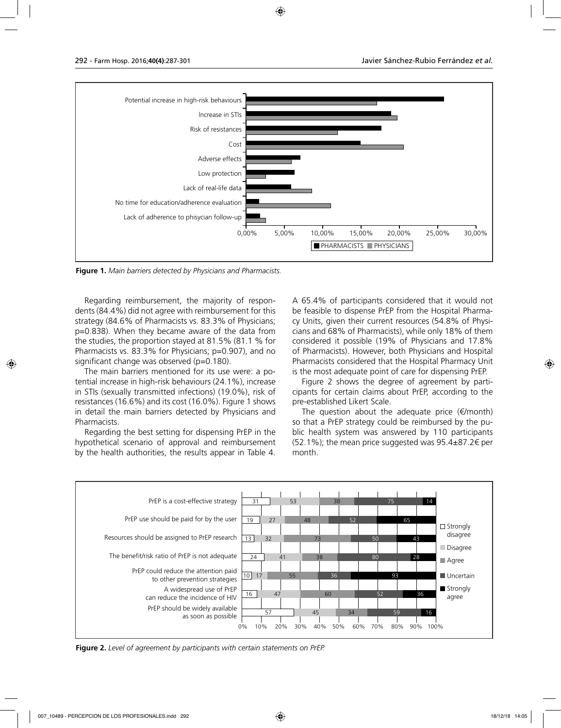

**Figure 1.** *Main barriers detected by Physicians and Pharmacists.*

Regarding reimbursement, the majority of respondents (84.4%) did not agree with reimbursement for this strategy (84.6% of Pharmacists vs. 83.3% of Physicians; p=0.838). When they became aware of the data from the studies, the proportion stayed at 81.5% (81.1 % for Pharmacists vs. 83.3% for Physicians; p=0.907), and no significant change was observed (p=0.180).

The main barriers mentioned for its use were: a potential increase in high-risk behaviours (24.1%), increase in STIs (sexually transmitted infections) (19.0%), risk of resistances (16.6%) and its cost (16.0%). Figure 1 shows in detail the main barriers detected by Physicians and Pharmacists.

Regarding the best setting for dispensing PrEP in the hypothetical scenario of approval and reimbursement by the health authorities, the results appear in Table 4.

A 65.4% of participants considered that it would not be feasible to dispense PrEP from the Hospital Pharmacy Units, given their current resources (54.8% of Physicians and 68% of Pharmacists), while only 18% of them considered it possible (19% of Physicians and 17.8% of Pharmacists). However, both Physicians and Hospital Pharmacists considered that the Hospital Pharmacy Unit is the most adequate point of care for dispensing PrEP.

Figure 2 shows the degree of agreement by participants for certain claims about PrEP, according to the pre-established Likert Scale.

The question about the adequate price  $(\epsilon/m$ onth) so that a PrEP strategy could be reimbursed by the public health system was answered by 110 participants (52.1%); the mean price suggested was  $95.4\pm87.2$  € per month.



**Figure 2.** *Level of agreement by participants with certain statements on PrEP.*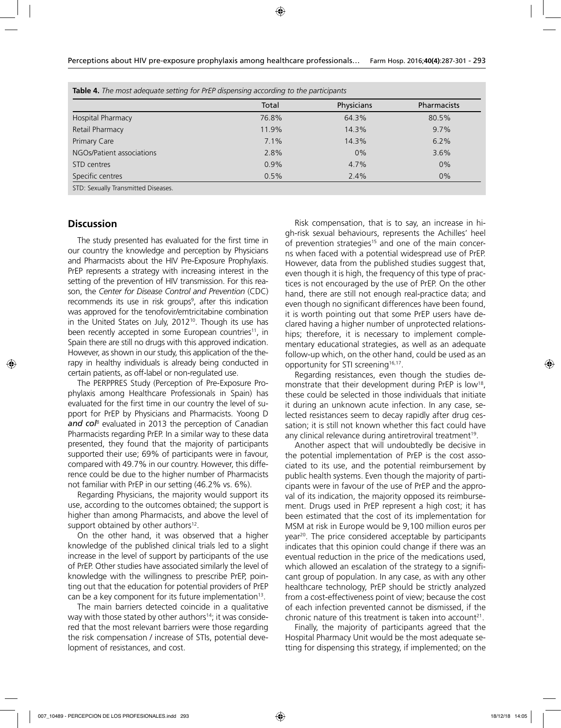|                           | Total | Physicians | <b>Pharmacists</b> |
|---------------------------|-------|------------|--------------------|
| Hospital Pharmacy         | 76.8% | 64.3%      | 80.5%              |
| Retail Pharmacy           | 11.9% | 14.3%      | 9.7%               |
| Primary Care              | 7.1%  | 14.3%      | 6.2%               |
| NGOs/Patient associations | 2.8%  | $0\%$      | 3.6%               |
| STD centres               | 0.9%  | 4.7%       | 0%                 |
| Specific centres          | 0.5%  | 2.4%       | $0\%$              |

## **Discussion**

The study presented has evaluated for the first time in our country the knowledge and perception by Physicians and Pharmacists about the HIV Pre-Exposure Prophylaxis. PrEP represents a strategy with increasing interest in the setting of the prevention of HIV transmission. For this reason, the *Center for Disease Control and Prevention* (CDC) recommends its use in risk groups<sup>9</sup>, after this indication was approved for the tenofovir/emtricitabine combination in the United States on July, 2012<sup>10</sup>. Though its use has been recently accepted in some European countries<sup>11</sup>, in Spain there are still no drugs with this approved indication. However, as shown in our study, this application of the therapy in healthy individuals is already being conducted in certain patients, as off-label or non-regulated use.

The PERPPRES Study (Perception of Pre-Exposure Prophylaxis among Healthcare Professionals in Spain) has evaluated for the first time in our country the level of support for PrEP by Physicians and Pharmacists. Yoong D *and col*<sup>8</sup> evaluated in 2013 the perception of Canadian Pharmacists regarding PrEP. In a similar way to these data presented, they found that the majority of participants supported their use; 69% of participants were in favour, compared with 49.7% in our country. However, this difference could be due to the higher number of Pharmacists not familiar with PrEP in our setting (46.2% vs. 6%).

Regarding Physicians, the majority would support its use, according to the outcomes obtained; the support is higher than among Pharmacists, and above the level of support obtained by other authors<sup>12</sup>.

On the other hand, it was observed that a higher knowledge of the published clinical trials led to a slight increase in the level of support by participants of the use of PrEP. Other studies have associated similarly the level of knowledge with the willingness to prescribe PrEP, pointing out that the education for potential providers of PrEP can be a key component for its future implementation<sup>13</sup>.

The main barriers detected coincide in a qualitative way with those stated by other authors<sup>14</sup>; it was considered that the most relevant barriers were those regarding the risk compensation / increase of STIs, potential development of resistances, and cost.

Risk compensation, that is to say, an increase in high-risk sexual behaviours, represents the Achilles' heel of prevention strategies<sup>15</sup> and one of the main concerns when faced with a potential widespread use of PrEP. However, data from the published studies suggest that, even though it is high, the frequency of this type of practices is not encouraged by the use of PrEP. On the other hand, there are still not enough real-practice data; and even though no significant differences have been found, it is worth pointing out that some PrEP users have declared having a higher number of unprotected relationships; therefore, it is necessary to implement complementary educational strategies, as well as an adequate follow-up which, on the other hand, could be used as an opportunity for STI screening<sup>16,17</sup>.

Regarding resistances, even though the studies demonstrate that their development during PrEP is low<sup>18</sup>, these could be selected in those individuals that initiate it during an unknown acute infection. In any case, selected resistances seem to decay rapidly after drug cessation; it is still not known whether this fact could have any clinical relevance during antiretroviral treatment<sup>19</sup>.

Another aspect that will undoubtedly be decisive in the potential implementation of PrEP is the cost associated to its use, and the potential reimbursement by public health systems. Even though the majority of participants were in favour of the use of PrEP and the approval of its indication, the majority opposed its reimbursement. Drugs used in PrEP represent a high cost; it has been estimated that the cost of its implementation for MSM at risk in Europe would be 9,100 million euros per year<sup>20</sup>. The price considered acceptable by participants indicates that this opinion could change if there was an eventual reduction in the price of the medications used, which allowed an escalation of the strategy to a significant group of population. In any case, as with any other healthcare technology, PrEP should be strictly analyzed from a cost-effectiveness point of view; because the cost of each infection prevented cannot be dismissed, if the chronic nature of this treatment is taken into account<sup>21</sup>.

Finally, the majority of participants agreed that the Hospital Pharmacy Unit would be the most adequate setting for dispensing this strategy, if implemented; on the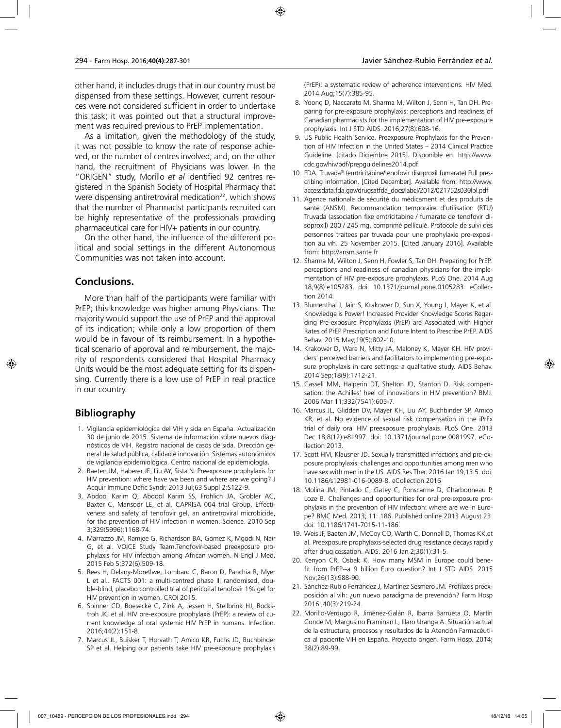other hand, it includes drugs that in our country must be dispensed from these settings. However, current resources were not considered sufficient in order to undertake this task; it was pointed out that a structural improvement was required previous to PrEP implementation.

As a limitation, given the methodology of the study, it was not possible to know the rate of response achieved, or the number of centres involved; and, on the other hand, the recruitment of Physicians was lower. In the "ORIGEN" study, Morillo *et al* identified 92 centres registered in the Spanish Society of Hospital Pharmacy that were dispensing antiretroviral medication<sup>22</sup>, which shows that the number of Pharmacist participants recruited can be highly representative of the professionals providing pharmaceutical care for HIV+ patients in our country.

On the other hand, the influence of the different political and social settings in the different Autonomous Communities was not taken into account.

## **Conclusions.**

More than half of the participants were familiar with PrEP; this knowledge was higher among Physicians. The majority would support the use of PrEP and the approval of its indication; while only a low proportion of them would be in favour of its reimbursement. In a hypothetical scenario of approval and reimbursement, the majority of respondents considered that Hospital Pharmacy Units would be the most adequate setting for its dispensing. Currently there is a low use of PrEP in real practice in our country.

## **Bibliography**

- 1. Vigilancia epidemiológica del VIH y sida en España. Actualización 30 de junio de 2015. Sistema de información sobre nuevos diagnósticos de VIH. Registro nacional de casos de sida. Dirección general de salud pública, calidad e innovación. Sistemas autonómicos de vigilancia epidemiológica. Centro nacional de epidemiología.
- 2. Baeten JM, Haberer JE, Liu AY, Sista N. Preexposure prophylaxis for HIV prevention: where have we been and where are we going? J Acquir Immune Defic Syndr. 2013 Jul;63 Suppl 2:S122-9.
- 3. Abdool Karim Q, Abdool Karim SS, Frohlich JA, Grobler AC, Baxter C, Mansoor LE, et al. CAPRISA 004 trial Group. Effectiveness and safety of tenofovir gel, an antiretroviral microbicide, for the prevention of HIV infection in women. Science. 2010 Sep 3;329(5996):1168-74.
- 4. Marrazzo JM, Ramjee G, Richardson BA, Gomez K, Mgodi N, Nair G, et al. VOICE Study Team.Tenofovir-based preexposure prophylaxis for HIV infection among African women. N Engl J Med. 2015 Feb 5;372(6):509-18.
- 5. Rees H, Delany-Moretlwe, Lombard C, Baron D, Panchia R, Myer L et al.. FACTS 001: a multi-centred phase III randomised, double-blind, placebo controlled trial of pericoital tenofovir 1% gel for HIV prevention in women. CROI 2015.
- 6. Spinner CD, Boesecke C, Zink A, Jessen H, Stellbrink HJ, Rockstroh JK, et al. HIV pre-exposure prophylaxis (PrEP): a review of current knowledge of oral systemic HIV PrEP in humans. Infection. 2016;44(2):151-8.
- 7. Marcus JL, Buisker T, Horvath T, Amico KR, Fuchs JD, Buchbinder SP et al. Helping our patients take HIV pre-exposure prophylaxis

(PrEP): a systematic review of adherence interventions. HIV Med. 2014 Aug;15(7):385-95.

- 8. Yoong D, Naccarato M, Sharma M, Wilton J, Senn H, Tan DH. Preparing for pre-exposure prophylaxis: perceptions and readiness of Canadian pharmacists for the implementation of HIV pre-exposure prophylaxis. Int J STD AIDS. 2016;27(8):608-16.
- 9. US Public Health Service. Preexposure Prophylaxis for the Prevention of HIV Infection in the United States – 2014 Clinical Practice Guideline. [citado Diciembre 2015]. Disponible en: http://www. cdc.gov/hiv/pdf/prepguidelines2014.pdf
- 10. FDA. Truvada® (emtricitabine/tenofovir disoproxil fumarate) Full prescribing information. [Cited December]. Available from: http://www. accessdata.fda.gov/drugsatfda\_docs/label/2012/021752s030lbl.pdf
- 11. Agence nationale de sécurité du médicament et des produits de santé (ANSM). Recommandation temporaire d'utilisation (RTU) Truvada (association fixe emtricitabine / fumarate de tenofovir disoproxil) 200 / 245 mg, comprimé pelliculé. Protocole de suivi des personnes traitees par truvada pour une prophylaxie pre-exposition au vih. 25 November 2015. [Cited January 2016]. Available from: http://ansm.sante.fr
- 12. Sharma M, Wilton J, Senn H, Fowler S, Tan DH. Preparing for PrEP: perceptions and readiness of canadian physicians for the implementation of HIV pre-exposure prophylaxis. PLoS One. 2014 Aug 18;9(8):e105283. doi: 10.1371/journal.pone.0105283. eCollection 2014.
- 13. Blumenthal J, Jain S, Krakower D, Sun X, Young J, Mayer K, et al. Knowledge is Power! Increased Provider Knowledge Scores Regarding Pre-exposure Prophylaxis (PrEP) are Associated with Higher Rates of PrEP Prescription and Future Intent to Prescribe PrEP. AIDS Behav. 2015 May;19(5):802-10.
- 14. Krakower D, Ware N, Mitty JA, Maloney K, Mayer KH. HIV providers' perceived barriers and facilitators to implementing pre-exposure prophylaxis in care settings: a qualitative study. AIDS Behav. 2014 Sep;18(9):1712-21.
- 15. Cassell MM, Halperin DT, Shelton JD, Stanton D. Risk compensation: the Achilles' heel of innovations in HIV prevention? BMJ. 2006 Mar 11;332(7541):605-7.
- 16. Marcus JL, Glidden DV, Mayer KH, Liu AY, Buchbinder SP, Amico KR, et al. No evidence of sexual risk compensation in the iPrEx trial of daily oral HIV preexposure prophylaxis. PLoS One. 2013 Dec 18;8(12):e81997. doi: 10.1371/journal.pone.0081997. eCollection 2013.
- 17. Scott HM, Klausner JD. Sexually transmitted infections and pre-exposure prophylaxis: challenges and opportunities among men who have sex with men in the US. AIDS Res Ther. 2016 Jan 19;13:5. doi: 10.1186/s12981-016-0089-8. eCollection 2016
- 18. Molina JM, Pintado C, Gatey C, Ponscarme D, Charbonneau P, Loze B. Challenges and opportunities for oral pre-exposure prophylaxis in the prevention of HIV infection: where are we in Europe? BMC Med. 2013; 11: 186. Published online 2013 August 23. doi: 10.1186/1741-7015-11-186.
- 19. Weis JF, Baeten JM, McCoy CO, Warth C, Donnell D, Thomas KK,et al. Preexposure prophylaxis-selected drug resistance decays rapidly after drug cessation. AIDS. 2016 Jan 2;30(1):31-5.
- 20. Kenyon CR, Osbak K. How many MSM in Europe could benefit from PrEP--a 9 billion Euro question? Int J STD AIDS. 2015 Nov;26(13):988-90.
- 21. Sánchez-Rubio Ferrández J, Martínez Sesmero JM. Profilaxis preexposición al vih: ¿un nuevo paradigma de prevención? Farm Hosp 2016 ;40(3):219-24.
- 22. Morillo-Verdugo R, Jiménez-Galán R, Ibarra Barrueta O, Martín Conde M, Margusino Framinan L, Illaro Uranga A. Situación actual de la estructura, procesos y resultados de la Atención Farmacéutica al paciente VIH en España. Proyecto origen. Farm Hosp. 2014; 38(2):89-99.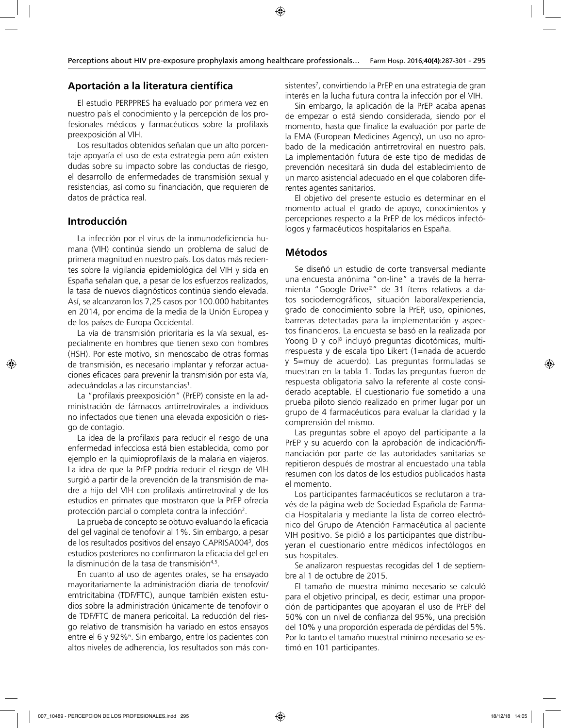## **Aportación a la literatura científica**

El estudio PERPPRES ha evaluado por primera vez en nuestro país el conocimiento y la percepción de los profesionales médicos y farmacéuticos sobre la profilaxis preexposición al VIH.

Los resultados obtenidos señalan que un alto porcentaje apoyaría el uso de esta estrategia pero aún existen dudas sobre su impacto sobre las conductas de riesgo, el desarrollo de enfermedades de transmisión sexual y resistencias, así como su financiación, que requieren de datos de práctica real.

#### **Introducción**

La infección por el virus de la inmunodeficiencia humana (VIH) continúa siendo un problema de salud de primera magnitud en nuestro país. Los datos más recientes sobre la vigilancia epidemiológica del VIH y sida en España señalan que, a pesar de los esfuerzos realizados, la tasa de nuevos diagnósticos continúa siendo elevada. Así, se alcanzaron los 7,25 casos por 100.000 habitantes en 2014, por encima de la media de la Unión Europea y de los países de Europa Occidental.

La vía de transmisión prioritaria es la vía sexual, especialmente en hombres que tienen sexo con hombres (HSH). Por este motivo, sin menoscabo de otras formas de transmisión, es necesario implantar y reforzar actuaciones eficaces para prevenir la transmisión por esta vía, adecuándolas a las circunstancias<sup>1</sup>.

La "profilaxis preexposición" (PrEP) consiste en la administración de fármacos antirretrovirales a individuos no infectados que tienen una elevada exposición o riesgo de contagio.

La idea de la profilaxis para reducir el riesgo de una enfermedad infecciosa está bien establecida, como por ejemplo en la quimioprofilaxis de la malaria en viajeros. La idea de que la PrEP podría reducir el riesgo de VIH surgió a partir de la prevención de la transmisión de madre a hijo del VIH con profilaxis antirretroviral y de los estudios en primates que mostraron que la PrEP ofrecía protección parcial o completa contra la infección<sup>2</sup>.

La prueba de concepto se obtuvo evaluando la eficacia del gel vaginal de tenofovir al 1%. Sin embargo, a pesar de los resultados positivos del ensayo CAPRISA0043 , dos estudios posteriores no confirmaron la eficacia del gel en la disminución de la tasa de transmisión<sup>4,5</sup>.

En cuanto al uso de agentes orales, se ha ensayado mayoritariamente la administración diaria de tenofovir/ emtricitabina (TDF/FTC), aunque también existen estudios sobre la administración únicamente de tenofovir o de TDF/FTC de manera pericoital. La reducción del riesgo relativo de transmisión ha variado en estos ensayos entre el 6 y 92%<sup>6</sup>. Sin embargo, entre los pacientes con altos niveles de adherencia, los resultados son más con-

sistentes7 , convirtiendo la PrEP en una estrategia de gran interés en la lucha futura contra la infección por el VIH.

Sin embargo, la aplicación de la PrEP acaba apenas de empezar o está siendo considerada, siendo por el momento, hasta que finalice la evaluación por parte de la EMA (European Medicines Agency), un uso no aprobado de la medicación antirretroviral en nuestro país. La implementación futura de este tipo de medidas de prevención necesitará sin duda del establecimiento de un marco asistencial adecuado en el que colaboren diferentes agentes sanitarios.

El objetivo del presente estudio es determinar en el momento actual el grado de apoyo, conocimientos y percepciones respecto a la PrEP de los médicos infectólogos y farmacéuticos hospitalarios en España.

#### **Métodos**

Se diseñó un estudio de corte transversal mediante una encuesta anónima "on-line" a través de la herramienta "Google Drive®" de 31 ítems relativos a datos sociodemográficos, situación laboral/experiencia, grado de conocimiento sobre la PrEP, uso, opiniones, barreras detectadas para la implementación y aspectos financieros. La encuesta se basó en la realizada por Yoong D y col<sup>s</sup> incluyó preguntas dicotómicas, multirrespuesta y de escala tipo Likert (1=nada de acuerdo y 5=muy de acuerdo). Las preguntas formuladas se muestran en la tabla 1. Todas las preguntas fueron de respuesta obligatoria salvo la referente al coste considerado aceptable. El cuestionario fue sometido a una prueba piloto siendo realizado en primer lugar por un grupo de 4 farmacéuticos para evaluar la claridad y la comprensión del mismo.

Las preguntas sobre el apoyo del participante a la PrEP y su acuerdo con la aprobación de indicación/financiación por parte de las autoridades sanitarias se repitieron después de mostrar al encuestado una tabla resumen con los datos de los estudios publicados hasta el momento.

Los participantes farmacéuticos se reclutaron a través de la página web de Sociedad Española de Farmacia Hospitalaria y mediante la lista de correo electrónico del Grupo de Atención Farmacéutica al paciente VIH positivo. Se pidió a los participantes que distribuyeran el cuestionario entre médicos infectólogos en sus hospitales.

Se analizaron respuestas recogidas del 1 de septiembre al 1 de octubre de 2015.

El tamaño de muestra mínimo necesario se calculó para el objetivo principal, es decir, estimar una proporción de participantes que apoyaran el uso de PrEP del 50% con un nivel de confianza del 95%, una precisión del 10% y una proporción esperada de pérdidas del 5%. Por lo tanto el tamaño muestral mínimo necesario se estimó en 101 participantes.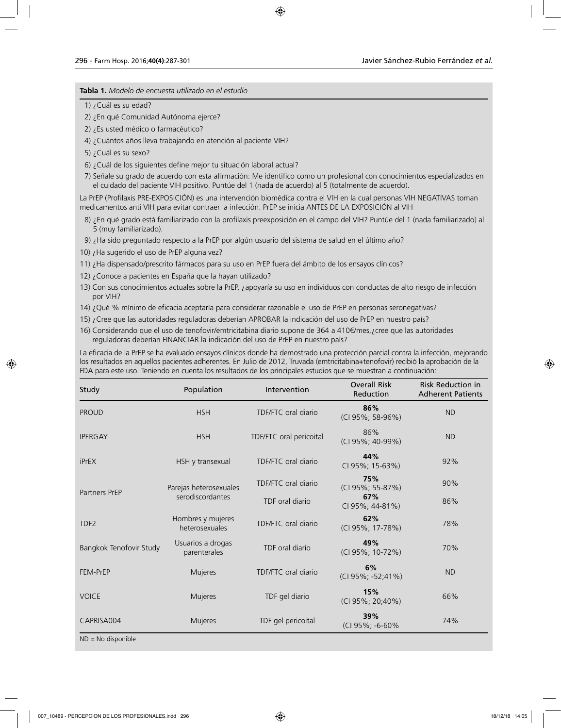**Tabla 1.** *Modelo de encuesta utilizado en el estudio*

1) ¿Cuál es su edad?

2) ¿En qué Comunidad Autónoma ejerce?

- 2) ¿Es usted médico o farmacéutico?
- 4) ¿Cuántos años lleva trabajando en atención al paciente VIH?
- 5) ¿Cuál es su sexo?
- 6) ¿Cuál de los siguientes define mejor tu situación laboral actual?

7) Señale su grado de acuerdo con esta afirmación: Me identifico como un profesional con conocimientos especializados en el cuidado del paciente VIH positivo. Puntúe del 1 (nada de acuerdo) al 5 (totalmente de acuerdo).

La PrEP (Profilaxis PRE-EXPOSICIÓN) es una intervención biomédica contra el VIH en la cual personas VIH NEGATIVAS toman medicamentos anti VIH para evitar contraer la infección. PrEP se inicia ANTES DE LA EXPOSICIÓN al VIH

- 8) ¿En qué grado está familiarizado con la profilaxis preexposición en el campo del VIH? Puntúe del 1 (nada familiarizado) al 5 (muy familiarizado).
- 9) ¿Ha sido preguntado respecto a la PrEP por algún usuario del sistema de salud en el último año?
- 10) ¿Ha sugerido el uso de PrEP alguna vez?
- 11) ¿Ha dispensado/prescrito fármacos para su uso en PrEP fuera del ámbito de los ensayos clínicos?
- 12) ¿Conoce a pacientes en España que la hayan utilizado?
- 13) Con sus conocimientos actuales sobre la PrEP, ¿apoyaría su uso en individuos con conductas de alto riesgo de infección por VIH?
- 14) ¿Qué % mínimo de eficacia aceptaría para considerar razonable el uso de PrEP en personas seronegativas?
- 15) ¿Cree que las autoridades reguladoras deberían APROBAR la indicación del uso de PrEP en nuestro país?
- 16) Considerando que el uso de tenofovir/emtricitabina diario supone de 364 a 410€/mes,¿cree que las autoridades reguladoras deberían FINANCIAR la indicación del uso de PrEP en nuestro país?

La eficacia de la PrEP se ha evaluado ensayos clínicos donde ha demostrado una protección parcial contra la infección, mejorando los resultados en aquellos pacientes adherentes. En Julio de 2012, Truvada (emtricitabina+tenofovir) recibió la aprobación de la FDA para este uso. Teniendo en cuenta los resultados de los principales estudios que se muestran a continuación:

| Study                   | Population                          | Intervention            | <b>Overall Risk</b><br>Reduction | <b>Risk Reduction in</b><br><b>Adherent Patients</b> |
|-------------------------|-------------------------------------|-------------------------|----------------------------------|------------------------------------------------------|
| <b>PROUD</b>            | <b>HSH</b>                          | TDF/FTC oral diario     | 86%<br>(CI 95%; 58-96%)          | <b>ND</b>                                            |
| <b>IPERGAY</b>          | <b>HSH</b>                          | TDF/FTC oral pericoital | 86%<br>(CI 95%; 40-99%)          | <b>ND</b>                                            |
| iPrEX                   | HSH y transexual                    | TDF/FTC oral diario     | 44%<br>CI 95%; 15-63%)           | 92%                                                  |
| Partners PrEP           | Parejas heterosexuales              | TDF/FTC oral diario     | 75%<br>(CI 95%; 55-87%)          | 90%                                                  |
|                         | serodiscordantes                    | TDF oral diario         | 67%<br>CI 95%; 44-81%)           | 86%                                                  |
| TDF <sub>2</sub>        | Hombres y mujeres<br>heterosexuales | TDF/FTC oral diario     | 62%<br>(CI 95%; 17-78%)          | 78%                                                  |
| Bangkok Tenofovir Study | Usuarios a drogas<br>parenterales   | TDF oral diario         | 49%<br>(CI 95%; 10-72%)          | 70%                                                  |
| FEM-PrEP                | Mujeres                             | TDF/FTC oral diario     | 6%<br>(CI 95%; -52;41%)          | <b>ND</b>                                            |
| <b>VOICE</b>            | Mujeres                             | TDF gel diario          | 15%<br>(CI 95%; 20;40%)          | 66%                                                  |
| CAPRISA004              | Mujeres                             | TDF gel pericoital      | 39%<br>(CI 95%; -6-60%           | 74%                                                  |
| $ND - No$ disponible    |                                     |                         |                                  |                                                      |

ND = No disponible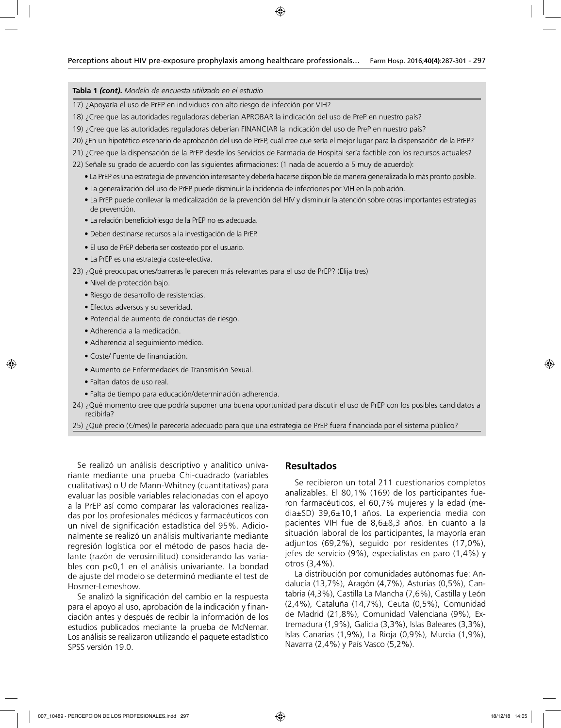#### **Tabla 1** *(cont)***.** *Modelo de encuesta utilizado en el estudio*

- 17) ¿Apoyaría el uso de PrEP en individuos con alto riesgo de infección por VIH?
- 18) ¿Cree que las autoridades reguladoras deberían APROBAR la indicación del uso de PreP en nuestro país?
- 19) ¿Cree que las autoridades reguladoras deberían FINANCIAR la indicación del uso de PreP en nuestro país?
- 20) ¿En un hipotético escenario de aprobación del uso de PrEP, cuál cree que sería el mejor lugar para la dispensación de la PrEP?
- 21) ¿Cree que la dispensación de la PrEP desde los Servicios de Farmacia de Hospital sería factible con los recursos actuales?
- 22) Señale su grado de acuerdo con las siguientes afirmaciones: (1 nada de acuerdo a 5 muy de acuerdo):
	- La PrEP es una estrategia de prevención interesante y debería hacerse disponible de manera generalizada lo más pronto posible.
	- La generalización del uso de PrEP puede disminuir la incidencia de infecciones por VIH en la población.
	- La PrEP puede conllevar la medicalización de la prevención del HIV y disminuir la atención sobre otras importantes estrategias de prevención.
	- La relación beneficio/riesgo de la PrEP no es adecuada.
	- Deben destinarse recursos a la investigación de la PrEP.
	- El uso de PrEP debería ser costeado por el usuario.
	- La PrEP es una estrategia coste-efectiva.
- 23) ¿Qué preocupaciones/barreras le parecen más relevantes para el uso de PrEP? (Elija tres)
	- Nivel de protección bajo.
	- Riesgo de desarrollo de resistencias.
	- Efectos adversos y su severidad.
	- Potencial de aumento de conductas de riesgo.
	- Adherencia a la medicación.
	- Adherencia al seguimiento médico.
	- Coste/ Fuente de financiación.
	- Aumento de Enfermedades de Transmisión Sexual.
	- Faltan datos de uso real.
	- Falta de tiempo para educación/determinación adherencia.
- 24) ¿Qué momento cree que podría suponer una buena oportunidad para discutir el uso de PrEP con los posibles candidatos a recibirla?
- 25) ¿Qué precio (€/mes) le parecería adecuado para que una estrategia de PrEP fuera financiada por el sistema público?

Se realizó un análisis descriptivo y analítico univariante mediante una prueba Chi-cuadrado (variables cualitativas) o U de Mann-Whitney (cuantitativas) para evaluar las posible variables relacionadas con el apoyo a la PrEP así como comparar las valoraciones realizadas por los profesionales médicos y farmacéuticos con un nivel de significación estadística del 95%. Adicionalmente se realizó un análisis multivariante mediante regresión logística por el método de pasos hacia delante (razón de verosimilitud) considerando las variables con p<0,1 en el análisis univariante. La bondad de ajuste del modelo se determinó mediante el test de Hosmer-Lemeshow.

Se analizó la significación del cambio en la respuesta para el apoyo al uso, aprobación de la indicación y financiación antes y después de recibir la información de los estudios publicados mediante la prueba de McNemar. Los análisis se realizaron utilizando el paquete estadístico SPSS versión 19.0.

#### **Resultados**

Se recibieron un total 211 cuestionarios completos analizables. El 80,1% (169) de los participantes fueron farmacéuticos, el 60,7% mujeres y la edad (media±SD) 39,6±10,1 años. La experiencia media con pacientes VIH fue de 8,6±8,3 años. En cuanto a la situación laboral de los participantes, la mayoría eran adjuntos (69,2%), seguido por residentes (17,0%), jefes de servicio (9%), especialistas en paro (1,4%) y otros (3,4%).

La distribución por comunidades autónomas fue: Andalucía (13,7%), Aragón (4,7%), Asturias (0,5%), Cantabria (4,3%), Castilla La Mancha (7,6%), Castilla y León (2,4%), Cataluña (14,7%), Ceuta (0,5%), Comunidad de Madrid (21,8%), Comunidad Valenciana (9%), Extremadura (1,9%), Galicia (3,3%), Islas Baleares (3,3%), Islas Canarias (1,9%), La Rioja (0,9%), Murcia (1,9%), Navarra (2,4%) y País Vasco (5,2%).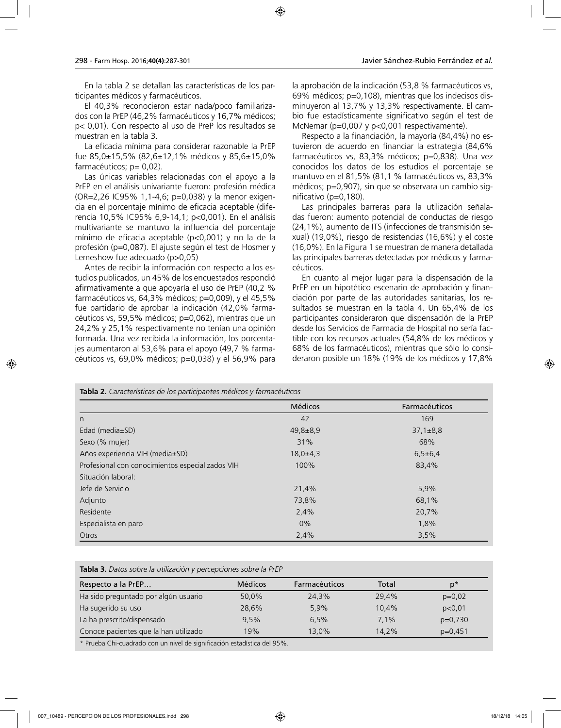En la tabla 2 se detallan las características de los participantes médicos y farmacéuticos.

El 40,3% reconocieron estar nada/poco familiarizados con la PrEP (46,2% farmacéuticos y 16,7% médicos; p< 0,01). Con respecto al uso de PreP los resultados se muestran en la tabla 3.

La eficacia mínima para considerar razonable la PrEP fue 85,0±15,5% (82,6±12,1% médicos y 85,6±15,0% farmacéuticos; p= 0,02).

Las únicas variables relacionadas con el apoyo a la PrEP en el análisis univariante fueron: profesión médica (OR=2,26 IC95% 1,1-4,6; p=0,038) y la menor exigencia en el porcentaje mínimo de eficacia aceptable (diferencia 10,5% IC95% 6,9-14,1; p<0,001). En el análisis multivariante se mantuvo la influencia del porcentaje mínimo de eficacia aceptable (p<0,001) y no la de la profesión (p=0,087). El ajuste según el test de Hosmer y Lemeshow fue adecuado (p>0,05)

Antes de recibir la información con respecto a los estudios publicados, un 45% de los encuestados respondió afirmativamente a que apoyaría el uso de PrEP (40,2 % farmacéuticos vs, 64,3% médicos; p=0,009), y el 45,5% fue partidario de aprobar la indicación (42,0% farmacéuticos vs, 59,5% médicos; p=0,062), mientras que un 24,2% y 25,1% respectivamente no tenían una opinión formada. Una vez recibida la información, los porcentajes aumentaron al 53,6% para el apoyo (49,7 % farmacéuticos vs, 69,0% médicos; p=0,038) y el 56,9% para la aprobación de la indicación (53,8 % farmacéuticos vs, 69% médicos; p=0,108), mientras que los indecisos disminuyeron al 13,7% y 13,3% respectivamente. El cambio fue estadísticamente significativo según el test de McNemar (p=0,007 y p<0,001 respectivamente).

Respecto a la financiación, la mayoría (84,4%) no estuvieron de acuerdo en financiar la estrategia (84,6% farmacéuticos vs, 83,3% médicos; p=0,838). Una vez conocidos los datos de los estudios el porcentaje se mantuvo en el 81,5% (81,1 % farmacéuticos vs, 83,3% médicos; p=0,907), sin que se observara un cambio significativo (p=0,180).

Las principales barreras para la utilización señaladas fueron: aumento potencial de conductas de riesgo (24,1%), aumento de ITS (infecciones de transmisión sexual) (19,0%), riesgo de resistencias (16,6%) y el coste (16,0%). En la Figura 1 se muestran de manera detallada las principales barreras detectadas por médicos y farmacéuticos.

En cuanto al mejor lugar para la dispensación de la PrEP en un hipotético escenario de aprobación y financiación por parte de las autoridades sanitarias, los resultados se muestran en la tabla 4. Un 65,4% de los participantes consideraron que dispensación de la PrEP desde los Servicios de Farmacia de Hospital no sería factible con los recursos actuales (54,8% de los médicos y 68% de los farmacéuticos), mientras que sólo lo consideraron posible un 18% (19% de los médicos y 17,8%

| Tabla 2. Características de los participantes médicos y farmacéuticos |                |                |  |  |
|-----------------------------------------------------------------------|----------------|----------------|--|--|
|                                                                       | <b>Médicos</b> | Farmacéuticos  |  |  |
| n                                                                     | 42             | 169            |  |  |
| Edad (media $\pm$ SD)                                                 | $49,8 \pm 8,9$ | $37.1 \pm 8.8$ |  |  |
| Sexo (% mujer)                                                        | 31%            | 68%            |  |  |
| Años experiencia VIH (media±SD)                                       | $18,0{\pm}4,3$ | $6,5+6,4$      |  |  |
| Profesional con conocimientos especializados VIH                      | 100%           | 83,4%          |  |  |
| Situación laboral:                                                    |                |                |  |  |
| Jefe de Servicio                                                      | 21,4%          | 5,9%           |  |  |
| Adjunto                                                               | 73,8%          | 68,1%          |  |  |
| Residente                                                             | 2,4%           | 20,7%          |  |  |
| Especialista en paro                                                  | $0\%$          | 1,8%           |  |  |
| Otros                                                                 | 2,4%           | 3.5%           |  |  |

**Tabla 3.** *Datos sobre la utilización y percepciones sobre la PrEP*

| Respecto a la PrEP                    | <b>Médicos</b> | <b>Farmacéuticos</b> | Total | $p^*$     |
|---------------------------------------|----------------|----------------------|-------|-----------|
| Ha sido preguntado por algún usuario  | 50,0%          | 24,3%                | 29.4% | $p=0,02$  |
| Ha sugerido su uso                    | 28,6%          | 5,9%                 | 10.4% | p<0.01    |
| La ha prescrito/dispensado            | 9.5%           | 6.5%                 | 7.1%  | $p=0.730$ |
| Conoce pacientes que la han utilizado | 19%            | 13.0%                | 14.2% | $p=0.451$ |

\* Prueba Chi-cuadrado con un nivel de significación estadística del 95%.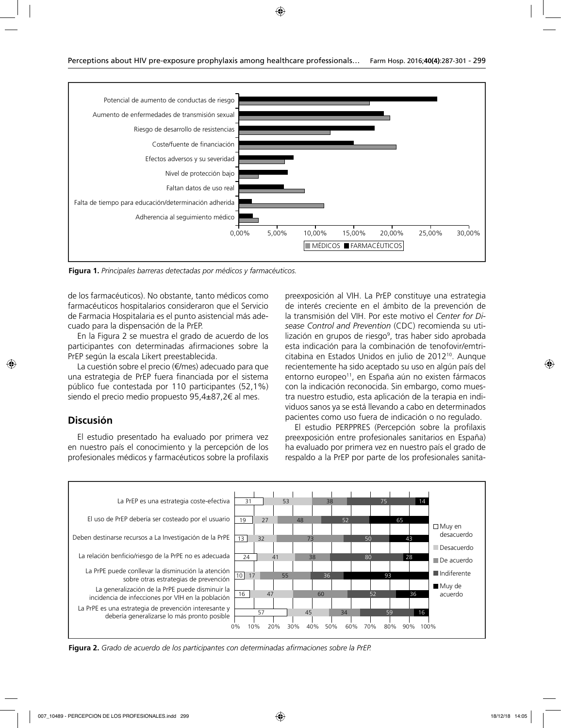

**Figura 1.** *Principales barreras detectadas por médicos y farmacéuticos.*

de los farmacéuticos). No obstante, tanto médicos como farmacéuticos hospitalarios consideraron que el Servicio de Farmacia Hospitalaria es el punto asistencial más adecuado para la dispensación de la PrEP.

En la Figura 2 se muestra el grado de acuerdo de los participantes con determinadas afirmaciones sobre la PrEP según la escala Likert preestablecida.

La cuestión sobre el precio (€/mes) adecuado para que una estrategia de PrEP fuera financiada por el sistema público fue contestada por 110 participantes (52,1%) siendo el precio medio propuesto 95,4±87,2€ al mes.

#### **Discusión**

El estudio presentado ha evaluado por primera vez en nuestro país el conocimiento y la percepción de los profesionales médicos y farmacéuticos sobre la profilaxis preexposición al VIH. La PrEP constituye una estrategia de interés creciente en el ámbito de la prevención de la transmisión del VIH. Por este motivo el *Center for Disease Control and Prevention* (CDC) recomienda su utilización en grupos de riesgo<sup>9</sup>, tras haber sido aprobada esta indicación para la combinación de tenofovir/emtricitabina en Estados Unidos en julio de 2012<sup>10</sup>. Aunque recientemente ha sido aceptado su uso en algún país del entorno europeo<sup>11</sup>, en España aún no existen fármacos con la indicación reconocida. Sin embargo, como muestra nuestro estudio, esta aplicación de la terapia en individuos sanos ya se está llevando a cabo en determinados pacientes como uso fuera de indicación o no regulado.

El estudio PERPPRES (Percepción sobre la profilaxis preexposición entre profesionales sanitarios en España) ha evaluado por primera vez en nuestro país el grado de respaldo a la PrEP por parte de los profesionales sanita-



**Figura 2.** *Grado de acuerdo de los participantes con determinadas afirmaciones sobre la PrEP.*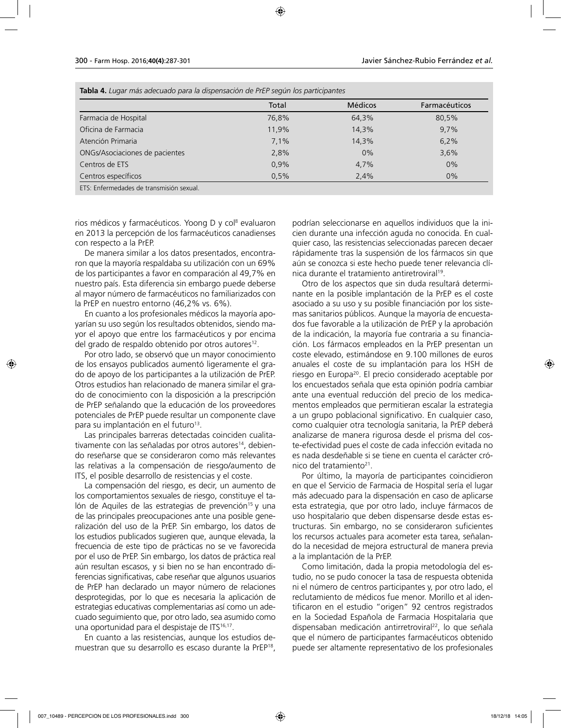|                                | Total | <b>Médicos</b> | Farmacéuticos |
|--------------------------------|-------|----------------|---------------|
| Farmacia de Hospital           | 76,8% | 64,3%          | 80,5%         |
| Oficina de Farmacia            | 11,9% | 14,3%          | 9.7%          |
| Atención Primaria              | 7.1%  | 14,3%          | 6,2%          |
| ONGs/Asociaciones de pacientes | 2,8%  | $0\%$          | 3,6%          |
| Centros de ETS                 | 0,9%  | 4,7%           | $0\%$         |
| Centros específicos            | 0.5%  | 2,4%           | $0\%$         |

rios médicos y farmacéuticos. Yoong D y col<sup>s</sup> evaluaron en 2013 la percepción de los farmacéuticos canadienses con respecto a la PrEP.

De manera similar a los datos presentados, encontraron que la mayoría respaldaba su utilización con un 69% de los participantes a favor en comparación al 49,7% en nuestro país. Esta diferencia sin embargo puede deberse al mayor número de farmacéuticos no familiarizados con la PrEP en nuestro entorno (46,2% vs. 6%).

En cuanto a los profesionales médicos la mayoría apoyarían su uso según los resultados obtenidos, siendo mayor el apoyo que entre los farmacéuticos y por encima del grado de respaldo obtenido por otros autores<sup>12</sup>.

Por otro lado, se observó que un mayor conocimiento de los ensayos publicados aumentó ligeramente el grado de apoyo de los participantes a la utilización de PrEP. Otros estudios han relacionado de manera similar el grado de conocimiento con la disposición a la prescripción de PrEP señalando que la educación de los proveedores potenciales de PrEP puede resultar un componente clave para su implantación en el futuro<sup>13</sup>.

Las principales barreras detectadas coinciden cualitativamente con las señaladas por otros autores<sup>14</sup>, debiendo reseñarse que se consideraron como más relevantes las relativas a la compensación de riesgo/aumento de ITS, el posible desarrollo de resistencias y el coste.

La compensación del riesgo, es decir, un aumento de los comportamientos sexuales de riesgo, constituye el talón de Aquiles de las estrategias de prevención<sup>15</sup> y una de las principales preocupaciones ante una posible generalización del uso de la PrEP. Sin embargo, los datos de los estudios publicados sugieren que, aunque elevada, la frecuencia de este tipo de prácticas no se ve favorecida por el uso de PrEP. Sin embargo, los datos de práctica real aún resultan escasos, y si bien no se han encontrado diferencias significativas, cabe reseñar que algunos usuarios de PrEP han declarado un mayor número de relaciones desprotegidas, por lo que es necesaria la aplicación de estrategias educativas complementarias así como un adecuado seguimiento que, por otro lado, sea asumido como una oportunidad para el despistaje de ITS<sup>16,17</sup>.

En cuanto a las resistencias, aunque los estudios demuestran que su desarrollo es escaso durante la PrEP18, podrían seleccionarse en aquellos individuos que la inicien durante una infección aguda no conocida. En cualquier caso, las resistencias seleccionadas parecen decaer rápidamente tras la suspensión de los fármacos sin que aún se conozca si este hecho puede tener relevancia clínica durante el tratamiento antiretroviral19.

Otro de los aspectos que sin duda resultará determinante en la posible implantación de la PrEP es el coste asociado a su uso y su posible financiación por los sistemas sanitarios públicos. Aunque la mayoría de encuestados fue favorable a la utilización de PrEP y la aprobación de la indicación, la mayoría fue contraria a su financiación. Los fármacos empleados en la PrEP presentan un coste elevado, estimándose en 9.100 millones de euros anuales el coste de su implantación para los HSH de riesgo en Europa20. El precio considerado aceptable por los encuestados señala que esta opinión podría cambiar ante una eventual reducción del precio de los medicamentos empleados que permitieran escalar la estrategia a un grupo poblacional significativo. En cualquier caso, como cualquier otra tecnología sanitaria, la PrEP deberá analizarse de manera rigurosa desde el prisma del coste-efectividad pues el coste de cada infección evitada no es nada desdeñable si se tiene en cuenta el carácter crónico del tratamiento<sup>21</sup>.

Por último, la mayoría de participantes coincidieron en que el Servicio de Farmacia de Hospital sería el lugar más adecuado para la dispensación en caso de aplicarse esta estrategia, que por otro lado, incluye fármacos de uso hospitalario que deben dispensarse desde estas estructuras. Sin embargo, no se consideraron suficientes los recursos actuales para acometer esta tarea, señalando la necesidad de mejora estructural de manera previa a la implantación de la PrEP.

Como limitación, dada la propia metodología del estudio, no se pudo conocer la tasa de respuesta obtenida ni el número de centros participantes y, por otro lado, el reclutamiento de médicos fue menor. Morillo et al identificaron en el estudio "origen" 92 centros registrados en la Sociedad Española de Farmacia Hospitalaria que dispensaban medicación antirretroviral<sup>22</sup>, lo que señala que el número de participantes farmacéuticos obtenido puede ser altamente representativo de los profesionales